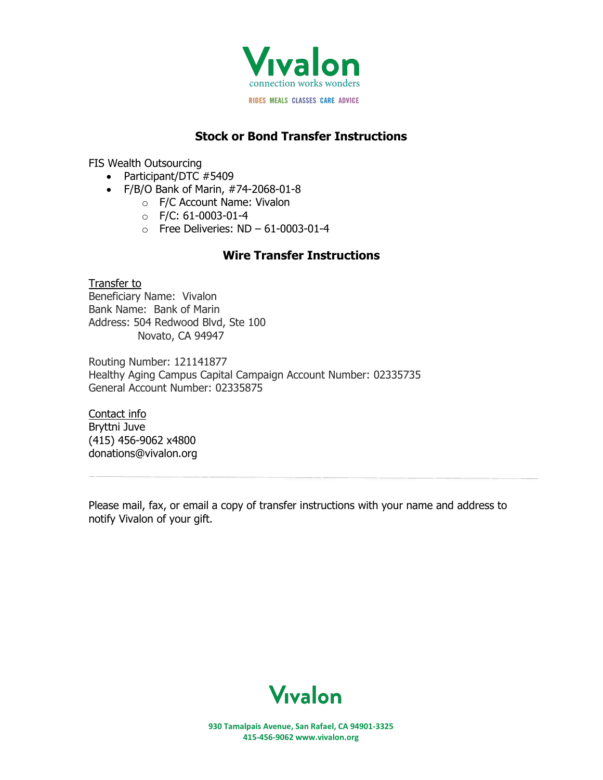

## **Stock or Bond Transfer Instructions**

FIS Wealth Outsourcing

- Participant/DTC #5409
- F/B/O Bank of Marin, #74-2068-01-8
	- o F/C Account Name: Vivalon
	- o F/C: 61-0003-01-4
	- $\circ$  Free Deliveries: ND 61-0003-01-4

## **Wire Transfer Instructions**

## Transfer to Beneficiary Name: Vivalon Bank Name: Bank of Marin Address: 504 Redwood Blvd, Ste 100 Novato, CA 94947

Routing Number: 121141877 Healthy Aging Campus Capital Campaign Account Number: 02335735 General Account Number: 02335875

Contact info Bryttni Juve (415) 456-9062 x4800 donations@vivalon.org

Please mail, fax, or email a copy of transfer instructions with your name and address to notify Vivalon of your gift.



**930 Tamalpais Avenue, San Rafael, CA 94901-3325 415-456-9062 www.vivalon.org**